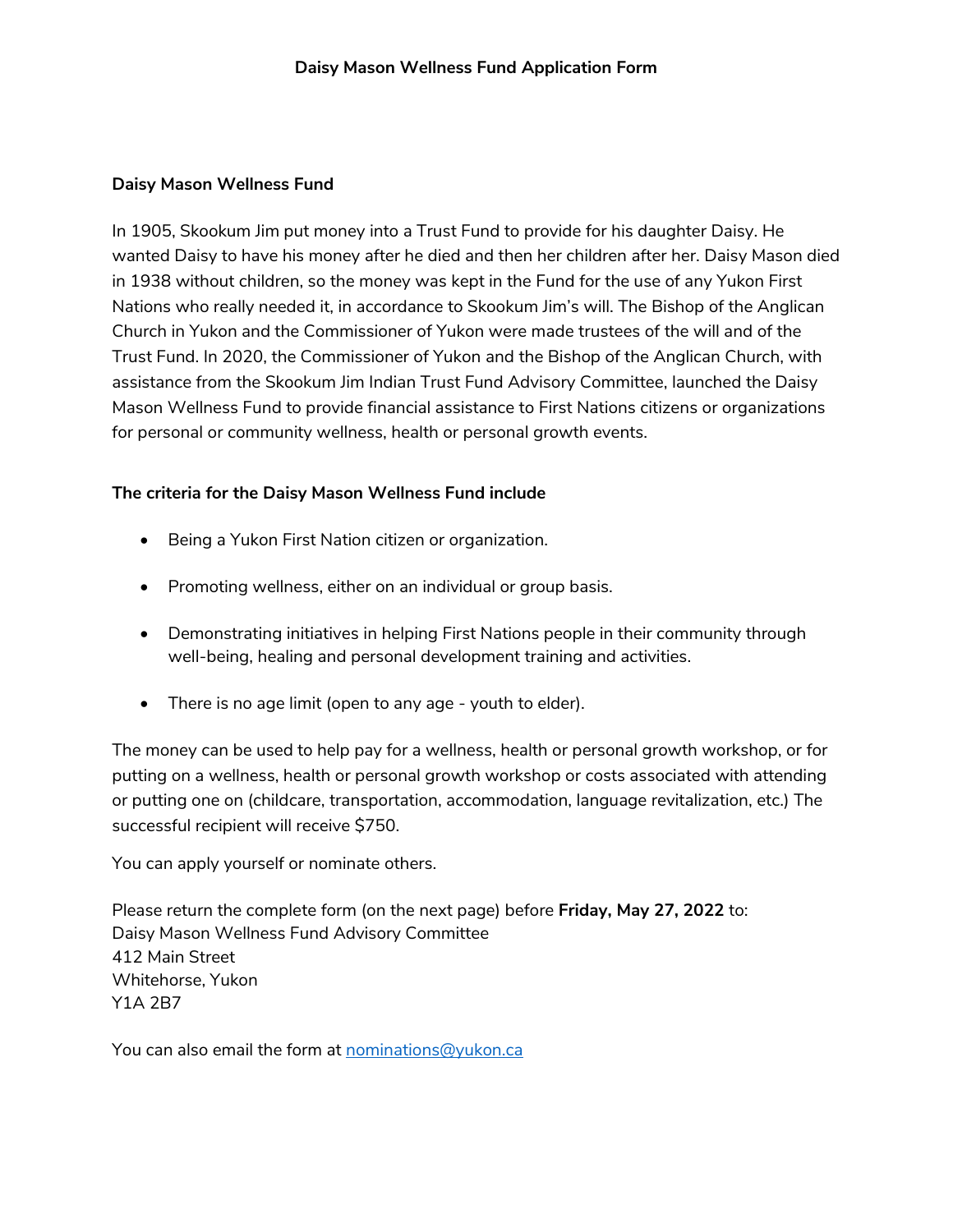## **Daisy Mason Wellness Fund**

In 1905, Skookum Jim put money into a Trust Fund to provide for his daughter Daisy. He wanted Daisy to have his money after he died and then her children after her. Daisy Mason died in 1938 without children, so the money was kept in the Fund for the use of any Yukon First Nations who really needed it, in accordance to Skookum Jim's will. The Bishop of the Anglican Church in Yukon and the Commissioner of Yukon were made trustees of the will and of the Trust Fund. In 2020, the Commissioner of Yukon and the Bishop of the Anglican Church, with assistance from the Skookum Jim Indian Trust Fund Advisory Committee, launched the Daisy Mason Wellness Fund to provide financial assistance to First Nations citizens or organizations for personal or community wellness, health or personal growth events.

## **The criteria for the Daisy Mason Wellness Fund include**

- Being a Yukon First Nation citizen or organization.
- Promoting wellness, either on an individual or group basis.
- Demonstrating initiatives in helping First Nations people in their community through well-being, healing and personal development training and activities.
- There is no age limit (open to any age youth to elder).

The money can be used to help pay for a wellness, health or personal growth workshop, or for putting on a wellness, health or personal growth workshop or costs associated with attending or putting one on (childcare, transportation, accommodation, language revitalization, etc.) The successful recipient will receive \$750.

You can apply yourself or nominate others.

Please return the complete form (on the next page) before **Friday, May 27, 2022** to: Daisy Mason Wellness Fund Advisory Committee 412 Main Street Whitehorse, Yukon Y1A 2B7

You can also email the form at [nominations@yukon.ca](mailto:nominations@yukon.ca)